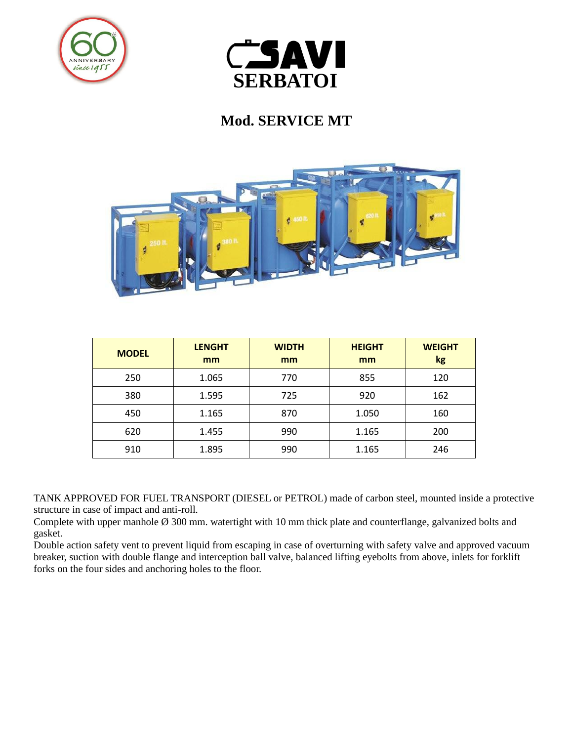



## **Mod. SERVICE MT**



| <b>MODEL</b> | <b>LENGHT</b><br>mm | <b>WIDTH</b><br>mm | <b>HEIGHT</b><br>mm | <b>WEIGHT</b><br>kg |
|--------------|---------------------|--------------------|---------------------|---------------------|
| 250          | 1.065               | 770                | 855                 | 120                 |
| 380          | 1.595               | 725                | 920                 | 162                 |
| 450          | 1.165               | 870                | 1.050               | 160                 |
| 620          | 1.455               | 990                | 1.165               | 200                 |
| 910          | 1.895               | 990                | 1.165               | 246                 |

TANK APPROVED FOR FUEL TRANSPORT (DIESEL or PETROL) made of carbon steel, mounted inside a protective structure in case of impact and anti-roll.

Complete with upper manhole Ø 300 mm. watertight with 10 mm thick plate and counterflange, galvanized bolts and gasket.

Double action safety vent to prevent liquid from escaping in case of overturning with safety valve and approved vacuum breaker, suction with double flange and interception ball valve, balanced lifting eyebolts from above, inlets for forklift forks on the four sides and anchoring holes to the floor.